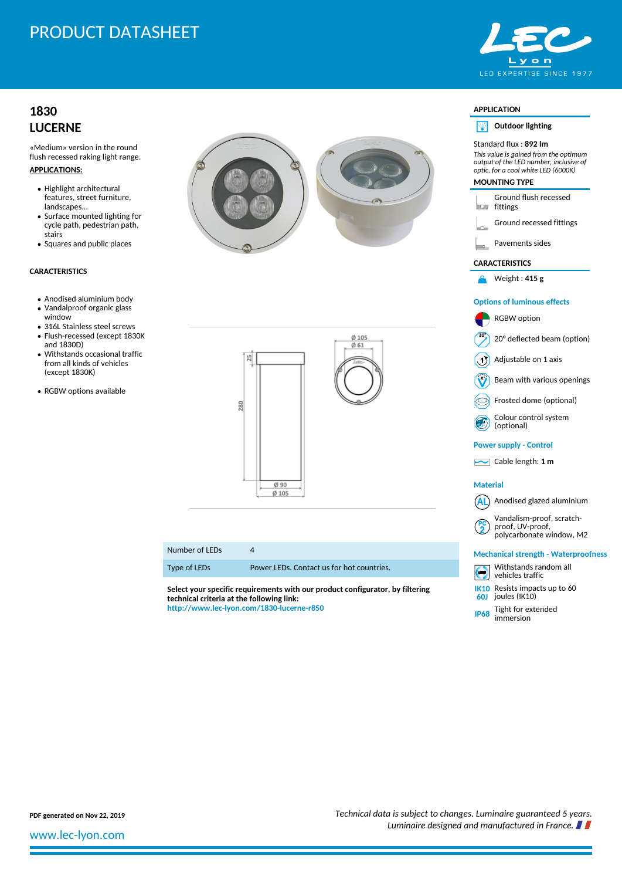# PRODUCT DATASHEET

## **[1830](http://www.lec-lyon.com/1830-lucerne-r850) [LUCERNE](http://www.lec-lyon.com/1830-lucerne-r850)**

«Medium» version in the round flush recessed raking light range.

- **APPLICATIONS:**
	- Highlight architectural features, street furniture, landscapes...
	- Surface mounted lighting for cycle path, pedestrian path, stairs
	- Squares and public places

### **CARACTERISTICS**

- Anodised aluminium body
- Vandalproof organic glass window
- 316L Stainless steel screws Flush-recessed (except 1830K
- and 1830D) Withstands occasional traffic from all kinds of vehicles (except 1830K)
- RGBW options available





### Number of LEDs 4

Type of LEDs Power LEDs. Contact us for hot countries.

**Select your specific requirements with our product configurator, by filtering technical criteria at the following link: <http://www.lec-lyon.com/1830-lucerne-r850>**



### **APPLICATION**

**Outdoor lighting** NИ

#### Standard flux : **892 lm** *This value is gained from the optimum output of the LED number, inclusive of optic, for a cool white LED (6000K)* **MOUNTING TYPE**

Ground flush recessed **fittings** 

Ground recessed fittings

Pavements sides

#### **CARACTERISTICS**

Weight : **415 g**

### **Options of luminous effects**

RGBW option 20° deflected beam (option)  $(1)$  Adjustable on 1 axis Beam with various openings Frosted dome (optional) Colour control system (optional) **Power supply - Control** Cable length: **1 m Material**  $(AL)$  Anodised glazed aluminium Vandalism-proof, scratchproof, UV-proof, polycarbonate window, M2 **Mechanical strength - Waterproofness** Withstands random all vehicles traffic **IK10** Resists impacts up to 60 **60J** joules (IK10)

**IP68** Tight for extended immersion

**PDF generated on Nov 22, 2019** *Technical data is subject to changes. Luminaire guaranteed 5 years. Luminaire designed and manufactured in France.*

[www.lec-lyon.com](http://www.lec-lyon.com/)